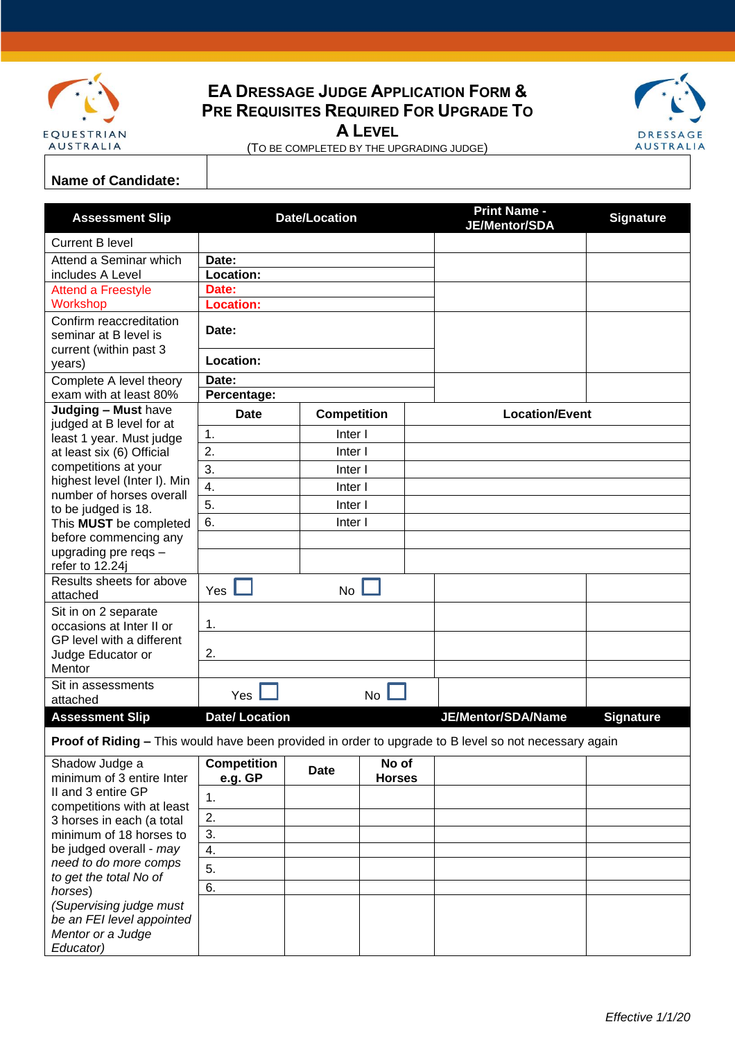

## **EA DRESSAGE JUDGE APPLICATION FORM & PRE REQUISITES REQUIRED FOR UPGRADE TO**

**A LEVEL**



(TO BE COMPLETED BY THE UPGRADING JUDGE)

## **Name of Candidate:**

| <b>Assessment Slip</b>                                                                                       | <b>Date/Location</b>          |                    |                        |  | <b>Print Name -</b><br>JE/Mentor/SDA | <b>Signature</b> |
|--------------------------------------------------------------------------------------------------------------|-------------------------------|--------------------|------------------------|--|--------------------------------------|------------------|
| <b>Current B level</b>                                                                                       |                               |                    |                        |  |                                      |                  |
| Attend a Seminar which                                                                                       | Date:                         |                    |                        |  |                                      |                  |
| includes A Level                                                                                             | Location:                     |                    |                        |  |                                      |                  |
| <b>Attend a Freestyle</b>                                                                                    | Date:                         |                    |                        |  |                                      |                  |
| Workshop                                                                                                     | <b>Location:</b>              |                    |                        |  |                                      |                  |
| Confirm reaccreditation<br>seminar at B level is<br>current (within past 3                                   | Date:                         |                    |                        |  |                                      |                  |
| years)                                                                                                       | Location:                     |                    |                        |  |                                      |                  |
| Complete A level theory<br>exam with at least 80%                                                            | Date:<br>Percentage:          |                    |                        |  |                                      |                  |
| Judging - Must have                                                                                          | <b>Date</b>                   |                    |                        |  | <b>Location/Event</b>                |                  |
| judged at B level for at                                                                                     | <b>Competition</b><br>Inter I |                    |                        |  |                                      |                  |
| least 1 year. Must judge                                                                                     | 1.<br>2.                      |                    |                        |  |                                      |                  |
| at least six (6) Official<br>competitions at your                                                            | 3.                            | Inter I<br>Inter I |                        |  |                                      |                  |
| highest level (Inter I). Min                                                                                 | 4.                            | Inter I            |                        |  |                                      |                  |
| number of horses overall                                                                                     |                               |                    |                        |  |                                      |                  |
| to be judged is 18.                                                                                          | 5.<br>Inter I                 |                    |                        |  |                                      |                  |
| This <b>MUST</b> be completed                                                                                | 6.                            | Inter I            |                        |  |                                      |                  |
| before commencing any<br>upgrading pre reqs -                                                                |                               |                    |                        |  |                                      |                  |
| refer to 12.24j                                                                                              |                               |                    |                        |  |                                      |                  |
| Results sheets for above<br>attached                                                                         | Yes                           | <b>No</b>          |                        |  |                                      |                  |
| Sit in on 2 separate<br>occasions at Inter II or                                                             | 1.                            |                    |                        |  |                                      |                  |
| GP level with a different<br>Judge Educator or                                                               | 2.                            |                    |                        |  |                                      |                  |
| Mentor                                                                                                       |                               |                    |                        |  |                                      |                  |
| Sit in assessments<br>attached                                                                               | Yes                           |                    | <b>No</b>              |  |                                      |                  |
| <b>Assessment Slip</b>                                                                                       | <b>Date/Location</b>          |                    |                        |  | JE/Mentor/SDA/Name                   | <b>Signature</b> |
| <b>Proof of Riding - This would have been provided in order to upgrade to B level so not necessary again</b> |                               |                    |                        |  |                                      |                  |
| Shadow Judge a<br>minimum of 3 entire Inter                                                                  | <b>Competition</b><br>e.g. GP | <b>Date</b>        | No of<br><b>Horses</b> |  |                                      |                  |
| II and 3 entire GP                                                                                           | 1.                            |                    |                        |  |                                      |                  |
| competitions with at least<br>3 horses in each (a total                                                      | 2.                            |                    |                        |  |                                      |                  |
| minimum of 18 horses to                                                                                      | 3.                            |                    |                        |  |                                      |                  |
| be judged overall - may                                                                                      | 4.                            |                    |                        |  |                                      |                  |
| need to do more comps                                                                                        | 5.                            |                    |                        |  |                                      |                  |
| to get the total No of                                                                                       | 6.                            |                    |                        |  |                                      |                  |
| horses)<br>(Supervising judge must                                                                           |                               |                    |                        |  |                                      |                  |
| be an FEI level appointed                                                                                    |                               |                    |                        |  |                                      |                  |
| Mentor or a Judge                                                                                            |                               |                    |                        |  |                                      |                  |
| Educator)                                                                                                    |                               |                    |                        |  |                                      |                  |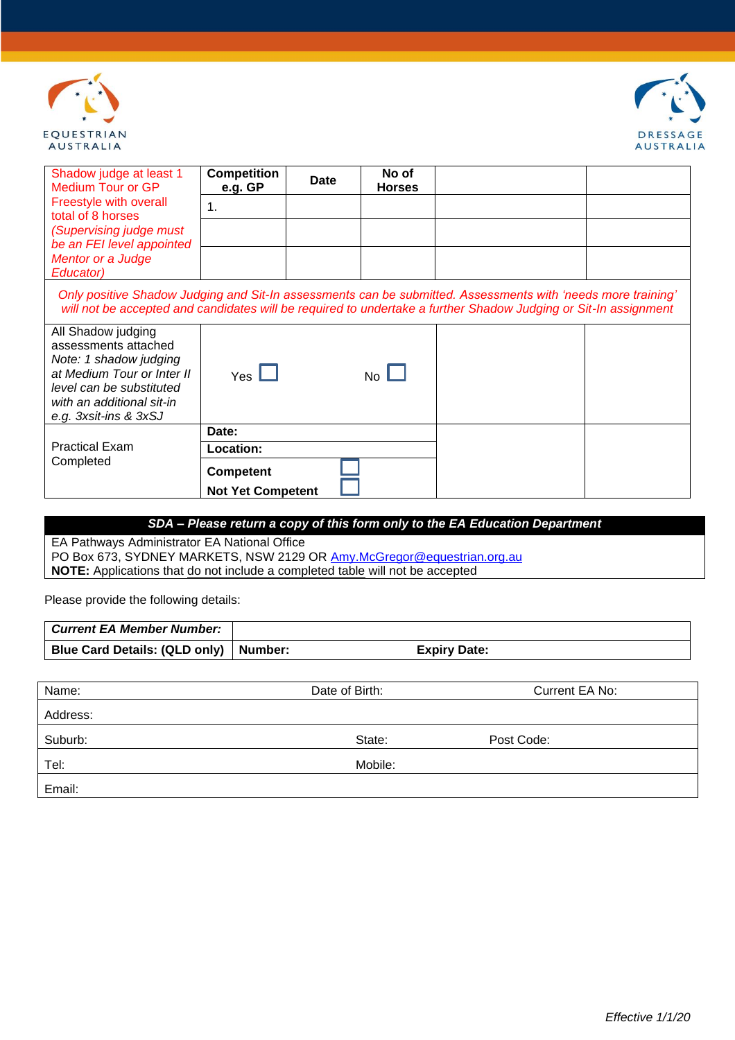



| Shadow judge at least 1<br>Medium Tour or GP                                                                                                                                                                                    | <b>Competition</b><br>e.g. GP | Date | No of<br><b>Horses</b> |  |  |
|---------------------------------------------------------------------------------------------------------------------------------------------------------------------------------------------------------------------------------|-------------------------------|------|------------------------|--|--|
| Freestyle with overall<br>total of 8 horses                                                                                                                                                                                     | 1.                            |      |                        |  |  |
| (Supervising judge must                                                                                                                                                                                                         |                               |      |                        |  |  |
| be an FEI level appointed<br>Mentor or a Judge                                                                                                                                                                                  |                               |      |                        |  |  |
| Educator)                                                                                                                                                                                                                       |                               |      |                        |  |  |
| Only positive Shadow Judging and Sit-In assessments can be submitted. Assessments with 'needs more training'<br>will not be accepted and candidates will be required to undertake a further Shadow Judging or Sit-In assignment |                               |      |                        |  |  |
| All Shadow judging<br>assessments attached<br>Note: 1 shadow judging<br>at Medium Tour or Inter II<br>level can be substituted                                                                                                  | $Yes$ $\Box$                  |      | $No$ $\Box$            |  |  |
| with an additional sit-in<br>e.g. 3xsit-ins & 3xSJ                                                                                                                                                                              |                               |      |                        |  |  |
|                                                                                                                                                                                                                                 | Date:                         |      |                        |  |  |
| <b>Practical Exam</b><br>Completed                                                                                                                                                                                              | Location:                     |      |                        |  |  |
|                                                                                                                                                                                                                                 | <b>Competent</b>              |      |                        |  |  |
|                                                                                                                                                                                                                                 | <b>Not Yet Competent</b>      |      |                        |  |  |

*SDA – Please return a copy of this form only to the EA Education Department*

EA Pathways Administrator EA National Office PO Box 673, SYDNEY MARKETS, NSW 2129 OR [Amy.McGregor@equestrian.org.au](mailto:Amy.McGregor@equestrian.org.au) **NOTE:** Applications that do not include a completed table will not be accepted

Please provide the following details:

| <b>Current EA Member Number:</b>        |                     |
|-----------------------------------------|---------------------|
| Blue Card Details: (QLD only)   Number: | <b>Expiry Date:</b> |

| Name:    | Date of Birth: | Current EA No: |
|----------|----------------|----------------|
| Address: |                |                |
| Suburb:  | State:         | Post Code:     |
| Tel:     | Mobile:        |                |
| Email:   |                |                |